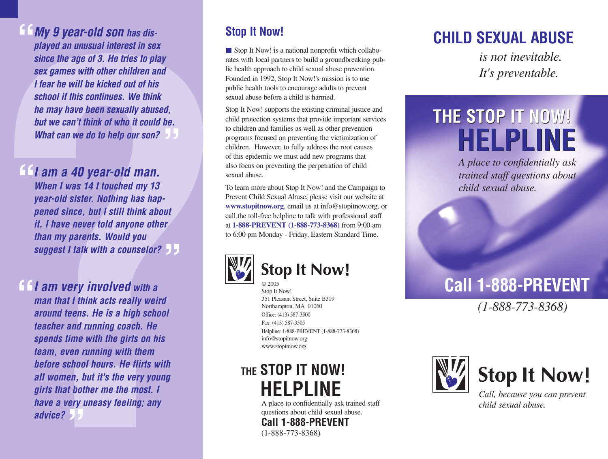**My 9 year-old son has displayed an unusual interest in sex since the age of 3. He tries to play sex games with other children and I fear he will be kicked out of his school if this continues. We think he may have been sexually abused, but we can't think of who it could be. What can we do to help our son?** *be.* **"**

**I am a 40 year-old man. "**

**When I was 14 I touched my 13 year-old sister. Nothing has happened since, but I still think about it. I have never told anyone other than my parents. Would you suggest I talk with a counselor? "**

**I am very involved with a man that I think acts really weird around teens. He is a high school teacher and running coach. He spends time with the girls on his team, even running with them before school hours. He flirts with all women, but it's the very young girls that bother me the most. I** have a very uneasy feeling; any advice? **advice? "**

#### **Stop It Now!**

Stop It Now! is a national nonprofit which collaborates with local partners to build a groundbreaking public health approach to child sexual abuse prevention. Founded in 1992, Stop It Now!'s mission is to use public health tools to encourage adults to prevent sexual abuse before a child is harmed.

Stop It Now! supports the existing criminal justice and child protection systems that provide important services to children and families as well as other prevention programs focused on preventing the victimization of children. However, to fully address the root causes of this epidemic we must add new programs that also focus on preventing the perpetration of child sexual abuse.

To learn more about Stop It Now! and the Campaign to Prevent Child Sexual Abuse, please visit our website at **www.stopitnow.org**, email us at info@stopitnow.org, or call the toll-free helpline to talk with professional staff at **1-888-PREVENT (1-888-773-8368)** from 9:00 am to 6:00 pm Monday - Friday, Eastern Standard Time.



#### **Stop It Now!** © 2005

Stop It Now! 351 Pleasant Street, Suite B319 Northampton, MA 01060 Office: (413) 587-3500 Fax: (413) 587-3505 Helpline: 1-888-PREVENT (1-888-773-8368) info@stopitnow.org www.stopitnow.org

## **THE STOP IT NOW! HELPLINE**

A place to confidentially ask trained staff questions about child sexual abuse. **Call 1-888-PREVENT** (1-888-773-8368)

# **CHILD SEXUAL ABUSE**

*is not inevitable. It's preventable.*

# **THE STOP IT NOW! THE STOP IT NOW! HELPLINE HELPLINE**

*A place to confidentially ask trained staff questions about child sexual abuse.*

# **Call 1-888-PREVENT**

*(1-888-773-8368)*



**Stop It Now!** 

*Call, because you can prevent child sexual abuse.*